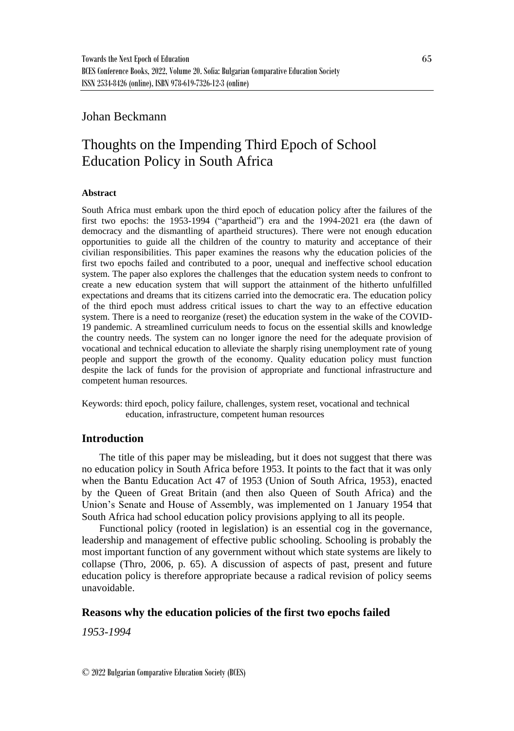## Johan Beckmann

# Thoughts on the Impending Third Epoch of School Education Policy in South Africa

#### **Abstract**

South Africa must embark upon the third epoch of education policy after the failures of the first two epochs: the 1953-1994 ("apartheid") era and the 1994-2021 era (the dawn of democracy and the dismantling of apartheid structures). There were not enough education opportunities to guide all the children of the country to maturity and acceptance of their civilian responsibilities. This paper examines the reasons why the education policies of the first two epochs failed and contributed to a poor, unequal and ineffective school education system. The paper also explores the challenges that the education system needs to confront to create a new education system that will support the attainment of the hitherto unfulfilled expectations and dreams that its citizens carried into the democratic era. The education policy of the third epoch must address critical issues to chart the way to an effective education system. There is a need to reorganize (reset) the education system in the wake of the COVID-19 pandemic. A streamlined curriculum needs to focus on the essential skills and knowledge the country needs. The system can no longer ignore the need for the adequate provision of vocational and technical education to alleviate the sharply rising unemployment rate of young people and support the growth of the economy. Quality education policy must function despite the lack of funds for the provision of appropriate and functional infrastructure and competent human resources.

Keywords: third epoch, policy failure, challenges, system reset, vocational and technical education, infrastructure, competent human resources

## **Introduction**

The title of this paper may be misleading, but it does not suggest that there was no education policy in South Africa before 1953. It points to the fact that it was only when the Bantu Education Act 47 of 1953 (Union of South Africa, 1953), enacted by the Queen of Great Britain (and then also Queen of South Africa) and the Union's Senate and House of Assembly, was implemented on 1 January 1954 that South Africa had school education policy provisions applying to all its people.

Functional policy (rooted in legislation) is an essential cog in the governance, leadership and management of effective public schooling. Schooling is probably the most important function of any government without which state systems are likely to collapse (Thro, 2006, p. 65). A discussion of aspects of past, present and future education policy is therefore appropriate because a radical revision of policy seems unavoidable.

## **Reasons why the education policies of the first two epochs failed**

*1953-1994*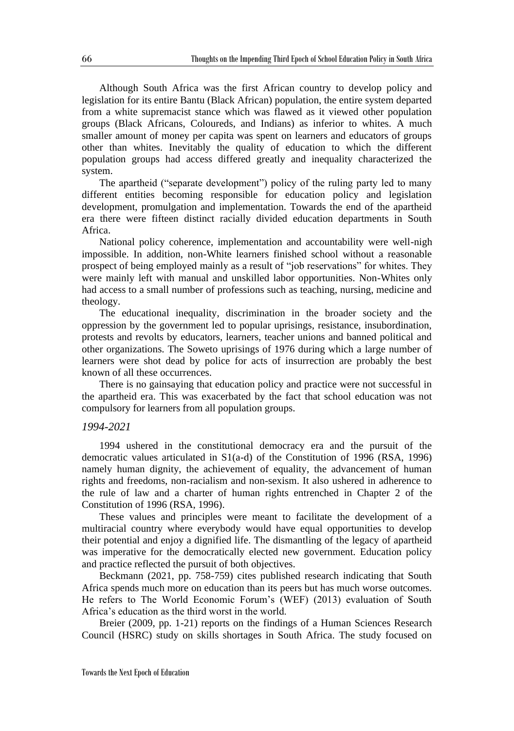Although South Africa was the first African country to develop policy and legislation for its entire Bantu (Black African) population, the entire system departed from a white supremacist stance which was flawed as it viewed other population groups (Black Africans, Coloureds, and Indians) as inferior to whites. A much smaller amount of money per capita was spent on learners and educators of groups other than whites. Inevitably the quality of education to which the different population groups had access differed greatly and inequality characterized the system.

The apartheid ("separate development") policy of the ruling party led to many different entities becoming responsible for education policy and legislation development, promulgation and implementation. Towards the end of the apartheid era there were fifteen distinct racially divided education departments in South Africa.

National policy coherence, implementation and accountability were well-nigh impossible. In addition, non-White learners finished school without a reasonable prospect of being employed mainly as a result of "job reservations" for whites. They were mainly left with manual and unskilled labor opportunities. Non-Whites only had access to a small number of professions such as teaching, nursing, medicine and theology.

The educational inequality, discrimination in the broader society and the oppression by the government led to popular uprisings, resistance, insubordination, protests and revolts by educators, learners, teacher unions and banned political and other organizations. The Soweto uprisings of 1976 during which a large number of learners were shot dead by police for acts of insurrection are probably the best known of all these occurrences.

There is no gainsaying that education policy and practice were not successful in the apartheid era. This was exacerbated by the fact that school education was not compulsory for learners from all population groups.

#### *1994-2021*

1994 ushered in the constitutional democracy era and the pursuit of the democratic values articulated in S1(a-d) of the Constitution of 1996 (RSA, 1996) namely human dignity, the achievement of equality, the advancement of human rights and freedoms, non-racialism and non-sexism. It also ushered in adherence to the rule of law and a charter of human rights entrenched in Chapter 2 of the Constitution of 1996 (RSA, 1996).

These values and principles were meant to facilitate the development of a multiracial country where everybody would have equal opportunities to develop their potential and enjoy a dignified life. The dismantling of the legacy of apartheid was imperative for the democratically elected new government. Education policy and practice reflected the pursuit of both objectives.

Beckmann (2021, pp. 758-759) cites published research indicating that South Africa spends much more on education than its peers but has much worse outcomes. He refers to The World Economic Forum's (WEF) (2013) evaluation of South Africa's education as the third worst in the world.

Breier (2009, pp. 1-21) reports on the findings of a Human Sciences Research Council (HSRC) study on skills shortages in South Africa. The study focused on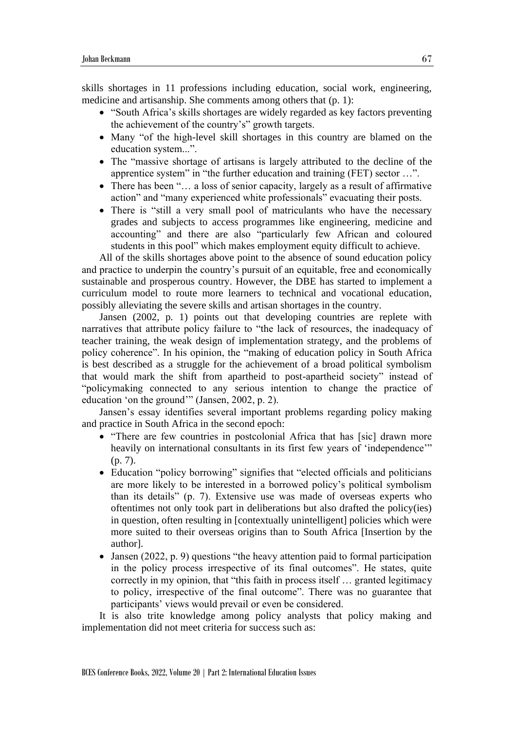skills shortages in 11 professions including education, social work, engineering, medicine and artisanship. She comments among others that (p. 1):

- "South Africa's skills shortages are widely regarded as key factors preventing the achievement of the country's" growth targets.
- Many "of the high-level skill shortages in this country are blamed on the education system...".
- The "massive shortage of artisans is largely attributed to the decline of the apprentice system" in "the further education and training (FET) sector …".
- There has been "... a loss of senior capacity, largely as a result of affirmative action" and "many experienced white professionals" evacuating their posts.
- There is "still a very small pool of matriculants who have the necessary grades and subjects to access programmes like engineering, medicine and accounting" and there are also "particularly few African and coloured students in this pool" which makes employment equity difficult to achieve.

All of the skills shortages above point to the absence of sound education policy and practice to underpin the country's pursuit of an equitable, free and economically sustainable and prosperous country. However, the DBE has started to implement a curriculum model to route more learners to technical and vocational education, possibly alleviating the severe skills and artisan shortages in the country.

Jansen (2002, p. 1) points out that developing countries are replete with narratives that attribute policy failure to "the lack of resources, the inadequacy of teacher training, the weak design of implementation strategy, and the problems of policy coherence". In his opinion, the "making of education policy in South Africa is best described as a struggle for the achievement of a broad political symbolism that would mark the shift from apartheid to post-apartheid society" instead of "policymaking connected to any serious intention to change the practice of education 'on the ground'" (Jansen, 2002, p. 2).

Jansen's essay identifies several important problems regarding policy making and practice in South Africa in the second epoch:

- "There are few countries in postcolonial Africa that has [sic] drawn more heavily on international consultants in its first few years of 'independence'" (p. 7).
- Education "policy borrowing" signifies that "elected officials and politicians are more likely to be interested in a borrowed policy's political symbolism than its details" (p. 7). Extensive use was made of overseas experts who oftentimes not only took part in deliberations but also drafted the policy(ies) in question, often resulting in [contextually unintelligent] policies which were more suited to their overseas origins than to South Africa [Insertion by the author].
- Jansen (2022, p. 9) questions "the heavy attention paid to formal participation in the policy process irrespective of its final outcomes". He states, quite correctly in my opinion, that "this faith in process itself … granted legitimacy to policy, irrespective of the final outcome". There was no guarantee that participants' views would prevail or even be considered.

It is also trite knowledge among policy analysts that policy making and implementation did not meet criteria for success such as: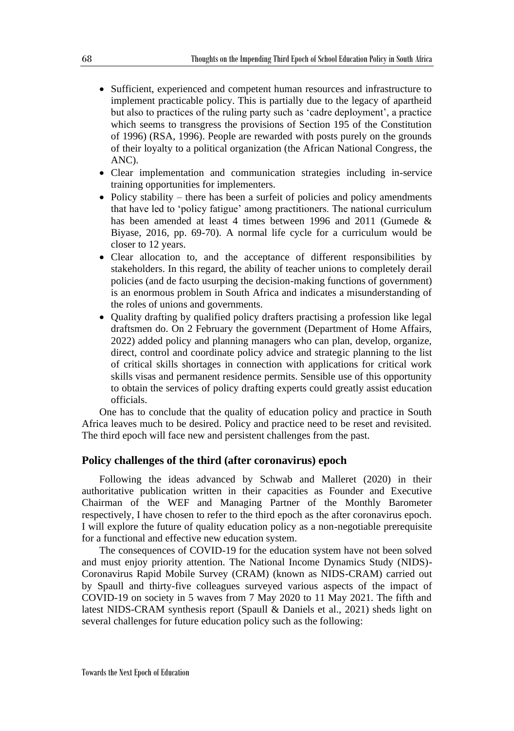- Sufficient, experienced and competent human resources and infrastructure to implement practicable policy. This is partially due to the legacy of apartheid but also to practices of the ruling party such as 'cadre deployment', a practice which seems to transgress the provisions of Section 195 of the Constitution of 1996) (RSA, 1996). People are rewarded with posts purely on the grounds of their loyalty to a political organization (the African National Congress, the ANC).
- Clear implementation and communication strategies including in-service training opportunities for implementers.
- Policy stability there has been a surfeit of policies and policy amendments that have led to 'policy fatigue' among practitioners. The national curriculum has been amended at least 4 times between 1996 and 2011 (Gumede & Biyase, 2016, pp. 69-70). A normal life cycle for a curriculum would be closer to 12 years.
- Clear allocation to, and the acceptance of different responsibilities by stakeholders. In this regard, the ability of teacher unions to completely derail policies (and de facto usurping the decision-making functions of government) is an enormous problem in South Africa and indicates a misunderstanding of the roles of unions and governments.
- Quality drafting by qualified policy drafters practising a profession like legal draftsmen do. On 2 February the government (Department of Home Affairs, 2022) added policy and planning managers who can plan, develop, organize, direct, control and coordinate policy advice and strategic planning to the list of critical skills shortages in connection with applications for critical work skills visas and permanent residence permits. Sensible use of this opportunity to obtain the services of policy drafting experts could greatly assist education officials.

One has to conclude that the quality of education policy and practice in South Africa leaves much to be desired. Policy and practice need to be reset and revisited. The third epoch will face new and persistent challenges from the past.

### **Policy challenges of the third (after coronavirus) epoch**

Following the ideas advanced by Schwab and Malleret (2020) in their authoritative publication written in their capacities as Founder and Executive Chairman of the WEF and Managing Partner of the Monthly Barometer respectively, I have chosen to refer to the third epoch as the after coronavirus epoch. I will explore the future of quality education policy as a non-negotiable prerequisite for a functional and effective new education system.

The consequences of COVID-19 for the education system have not been solved and must enjoy priority attention. The National Income Dynamics Study (NIDS)- Coronavirus Rapid Mobile Survey (CRAM) (known as NIDS-CRAM) carried out by Spaull and thirty-five colleagues surveyed various aspects of the impact of COVID-19 on society in 5 waves from 7 May 2020 to 11 May 2021. The fifth and latest NIDS-CRAM synthesis report (Spaull & Daniels et al., 2021) sheds light on several challenges for future education policy such as the following: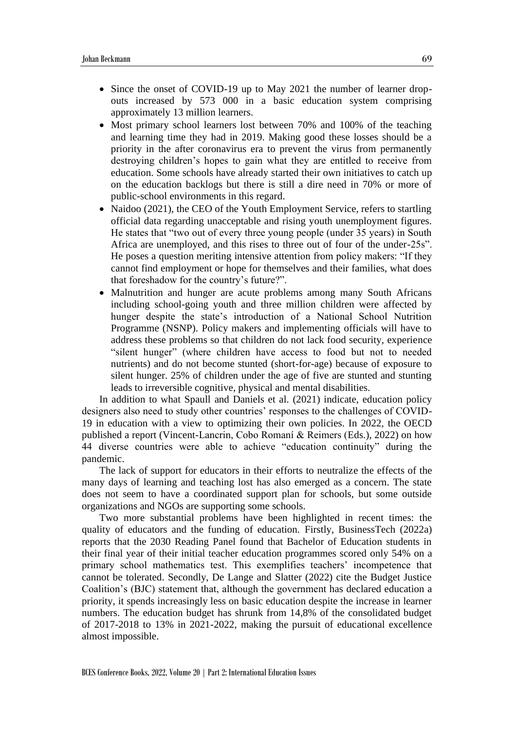- Since the onset of COVID-19 up to May 2021 the number of learner dropouts increased by 573 000 in a basic education system comprising approximately 13 million learners.
- Most primary school learners lost between 70% and 100% of the teaching and learning time they had in 2019. Making good these losses should be a priority in the after coronavirus era to prevent the virus from permanently destroying children's hopes to gain what they are entitled to receive from education. Some schools have already started their own initiatives to catch up on the education backlogs but there is still a dire need in 70% or more of public-school environments in this regard.
- Naidoo (2021), the CEO of the Youth Employment Service, refers to startling official data regarding unacceptable and rising youth unemployment figures. He states that "two out of every three young people (under 35 years) in South Africa are unemployed, and this rises to three out of four of the under-25s". He poses a question meriting intensive attention from policy makers: "If they cannot find employment or hope for themselves and their families, what does that foreshadow for the country's future?".
- Malnutrition and hunger are acute problems among many South Africans including school-going youth and three million children were affected by hunger despite the state's introduction of a National School Nutrition Programme (NSNP). Policy makers and implementing officials will have to address these problems so that children do not lack food security, experience "silent hunger" (where children have access to food but not to needed nutrients) and do not become stunted (short-for-age) because of exposure to silent hunger. 25% of children under the age of five are stunted and stunting leads to irreversible cognitive, physical and mental disabilities.

In addition to what Spaull and Daniels et al. (2021) indicate, education policy designers also need to study other countries' responses to the challenges of COVID-19 in education with a view to optimizing their own policies. In 2022, the OECD published a report (Vincent-Lancrin, Cobo Romaní & Reimers (Eds.), 2022) on how 44 diverse countries were able to achieve "education continuity" during the pandemic.

The lack of support for educators in their efforts to neutralize the effects of the many days of learning and teaching lost has also emerged as a concern. The state does not seem to have a coordinated support plan for schools, but some outside organizations and NGOs are supporting some schools.

Two more substantial problems have been highlighted in recent times: the quality of educators and the funding of education. Firstly, BusinessTech (2022a) reports that the 2030 Reading Panel found that Bachelor of Education students in their final year of their initial teacher education programmes scored only 54% on a primary school mathematics test. This exemplifies teachers' incompetence that cannot be tolerated. Secondly, De Lange and Slatter (2022) cite the Budget Justice Coalition's (BJC) statement that, although the government has declared education a priority, it spends increasingly less on basic education despite the increase in learner numbers. The education budget has shrunk from 14,8% of the consolidated budget of 2017-2018 to 13% in 2021-2022, making the pursuit of educational excellence almost impossible.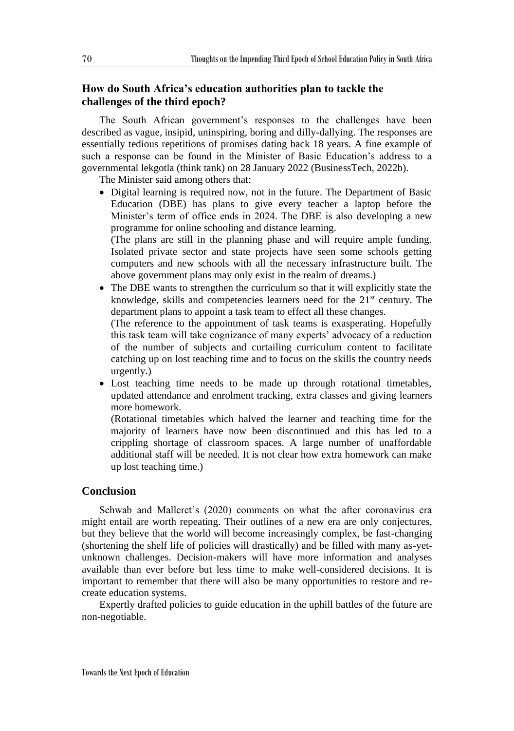## **How do South Africa's education authorities plan to tackle the challenges of the third epoch?**

The South African government's responses to the challenges have been described as vague, insipid, uninspiring, boring and dilly-dallying. The responses are essentially tedious repetitions of promises dating back 18 years. A fine example of such a response can be found in the Minister of Basic Education's address to a governmental lekgotla (think tank) on 28 January 2022 (BusinessTech, 2022b).

The Minister said among others that:

• Digital learning is required now, not in the future. The Department of Basic Education (DBE) has plans to give every teacher a laptop before the Minister's term of office ends in 2024. The DBE is also developing a new programme for online schooling and distance learning.

(The plans are still in the planning phase and will require ample funding. Isolated private sector and state projects have seen some schools getting computers and new schools with all the necessary infrastructure built. The above government plans may only exist in the realm of dreams.)

• The DBE wants to strengthen the curriculum so that it will explicitly state the knowledge, skills and competencies learners need for the 21<sup>st</sup> century. The department plans to appoint a task team to effect all these changes.

(The reference to the appointment of task teams is exasperating. Hopefully this task team will take cognizance of many experts' advocacy of a reduction of the number of subjects and curtailing curriculum content to facilitate catching up on lost teaching time and to focus on the skills the country needs urgently.)

• Lost teaching time needs to be made up through rotational timetables, updated attendance and enrolment tracking, extra classes and giving learners more homework.

(Rotational timetables which halved the learner and teaching time for the majority of learners have now been discontinued and this has led to a crippling shortage of classroom spaces. A large number of unaffordable additional staff will be needed. It is not clear how extra homework can make up lost teaching time.)

## **Conclusion**

Schwab and Malleret's (2020) comments on what the after coronavirus era might entail are worth repeating. Their outlines of a new era are only conjectures, but they believe that the world will become increasingly complex, be fast-changing (shortening the shelf life of policies will drastically) and be filled with many as-yetunknown challenges. Decision-makers will have more information and analyses available than ever before but less time to make well-considered decisions. It is important to remember that there will also be many opportunities to restore and recreate education systems.

Expertly drafted policies to guide education in the uphill battles of the future are non-negotiable.